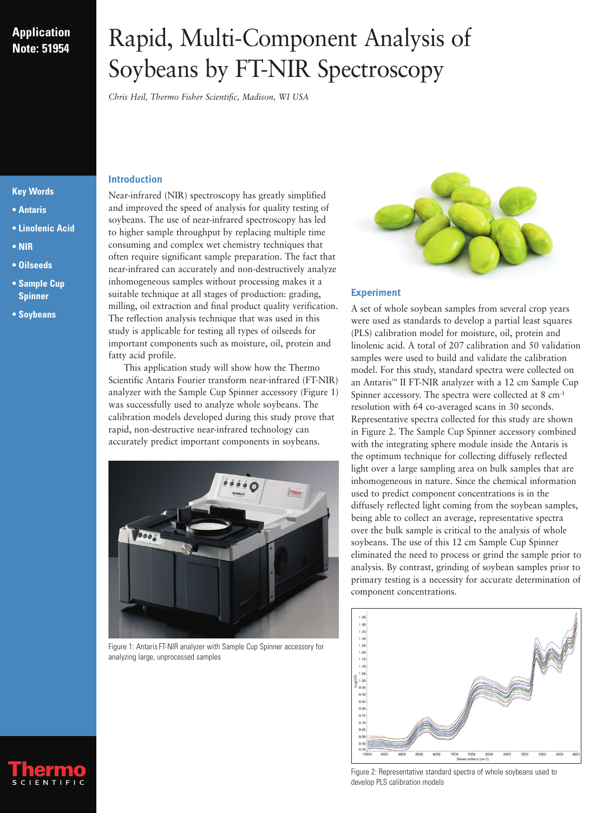## **Application Note: 51954**

# Rapid, Multi-Component Analysis of Soybeans by FT-NIR Spectroscopy

*Chris Heil, Thermo Fisher Scientific, Madison, WI USA*

### **Introduction**

and improved the speed of analysis for quality testing of soybeans. The use of near-infrared spectroscopy has led to higher sample throughput by replacing multiple time consuming and complex wet chemistry techniques that often require significant sample preparation. The fact that near-infrared can accurately and non-destructively analyze inhomogeneous samples without processing makes it a suitable technique at all stages of production: grading, milling, oil extraction and final product quality verification. The reflection analysis technique that was used in this study is applicable for testing all types of oilseeds for important components such as moisture, oil, protein and fatty acid profile.

Near-infrared (NIR) spectroscopy has greatly simplified

This application study will show how the Thermo Scientific Antaris Fourier transform near-infrared (FT-NIR) analyzer with the Sample Cup Spinner accessory (Figure 1) was successfully used to analyze whole soybeans. The calibration models developed during this study prove that rapid, non-destructive near-infrared technology can accurately predict important components in soybeans.



Figure 1: Antaris FT-NIR analyzer with Sample Cup Spinner accessory for analyzing large, unprocessed samples



### **Experiment**

A set of whole soybean samples from several crop years were used as standards to develop a partial least squares (PLS) calibration model for moisture, oil, protein and linolenic acid. A total of 207 calibration and 50 validation samples were used to build and validate the calibration model. For this study, standard spectra were collected on an Antaris™ II FT-NIR analyzer with a 12 cm Sample Cup Spinner accessory. The spectra were collected at 8 cm-1 resolution with 64 co-averaged scans in 30 seconds. Representative spectra collected for this study are shown in Figure 2. The Sample Cup Spinner accessory combined with the integrating sphere module inside the Antaris is the optimum technique for collecting diffusely reflected light over a large sampling area on bulk samples that are inhomogeneous in nature. Since the chemical information used to predict component concentrations is in the diffusely reflected light coming from the soybean samples, being able to collect an average, representative spectra over the bulk sample is critical to the analysis of whole soybeans. The use of this 12 cm Sample Cup Spinner eliminated the need to process or grind the sample prior to analysis. By contrast, grinding of soybean samples prior to primary testing is a necessity for accurate determination of component concentrations.



Figure 2: Representative standard spectra of whole soybeans used to develop PLS calibration models

### **Key Words**

- **Antaris**
- **Linolenic Acid**
- **NIR**
- **Oilseeds**
- **Sample Cup Spinner**
- **Soybeans**

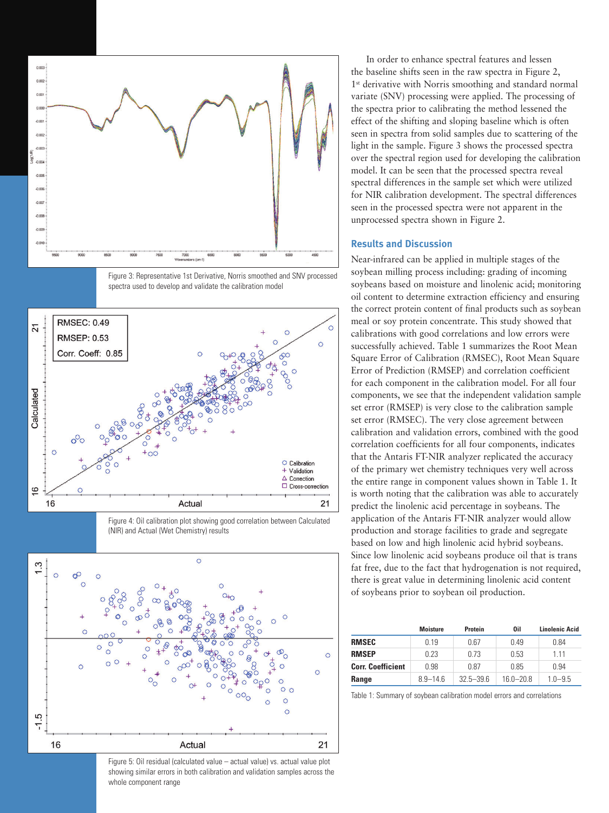

Figure 3: Representative 1st Derivative, Norris smoothed and SNV processed spectra used to develop and validate the calibration model



Figure 4: Oil calibration plot showing good correlation between Calculated (NIR) and Actual (Wet Chemistry) results



Figure 5: Oil residual (calculated value – actual value) vs. actual value plot showing similar errors in both calibration and validation samples across the whole component range

In order to enhance spectral features and lessen the baseline shifts seen in the raw spectra in Figure 2, 1<sup>st</sup> derivative with Norris smoothing and standard normal variate (SNV) processing were applied. The processing of the spectra prior to calibrating the method lessened the effect of the shifting and sloping baseline which is often seen in spectra from solid samples due to scattering of the light in the sample. Figure 3 shows the processed spectra over the spectral region used for developing the calibration model. It can be seen that the processed spectra reveal spectral differences in the sample set which were utilized for NIR calibration development. The spectral differences seen in the processed spectra were not apparent in the unprocessed spectra shown in Figure 2.

#### **Results and Discussion**

Near-infrared can be applied in multiple stages of the soybean milling process including: grading of incoming soybeans based on moisture and linolenic acid; monitoring oil content to determine extraction efficiency and ensuring the correct protein content of final products such as soybean meal or soy protein concentrate. This study showed that calibrations with good correlations and low errors were successfully achieved. Table 1 summarizes the Root Mean Square Error of Calibration (RMSEC), Root Mean Square Error of Prediction (RMSEP) and correlation coefficient for each component in the calibration model. For all four components, we see that the independent validation sample set error (RMSEP) is very close to the calibration sample set error (RMSEC). The very close agreement between calibration and validation errors, combined with the good correlation coefficients for all four components, indicates that the Antaris FT-NIR analyzer replicated the accuracy of the primary wet chemistry techniques very well across the entire range in component values shown in Table 1. It is worth noting that the calibration was able to accurately predict the linolenic acid percentage in soybeans. The application of the Antaris FT-NIR analyzer would allow production and storage facilities to grade and segregate based on low and high linolenic acid hybrid soybeans. Since low linolenic acid soybeans produce oil that is trans fat free, due to the fact that hydrogenation is not required, there is great value in determining linolenic acid content of soybeans prior to soybean oil production.

|                          | <b>Moisture</b> | Protein       | 0il         | <b>Linolenic Acid</b> |
|--------------------------|-----------------|---------------|-------------|-----------------------|
| <b>RMSEC</b>             | 0.19            | 0.67          | 0.49        | 0.84                  |
| <b>RMSEP</b>             | 0.23            | በ 73          | 0.53        | 1 1 1                 |
| <b>Corr. Coefficient</b> | 0.98            | 0.87          | 0.85        | 0.94                  |
| Range                    | $89 - 146$      | $32.5 - 39.6$ | $160 - 208$ | $10 - 95$             |

Table 1: Summary of soybean calibration model errors and correlations